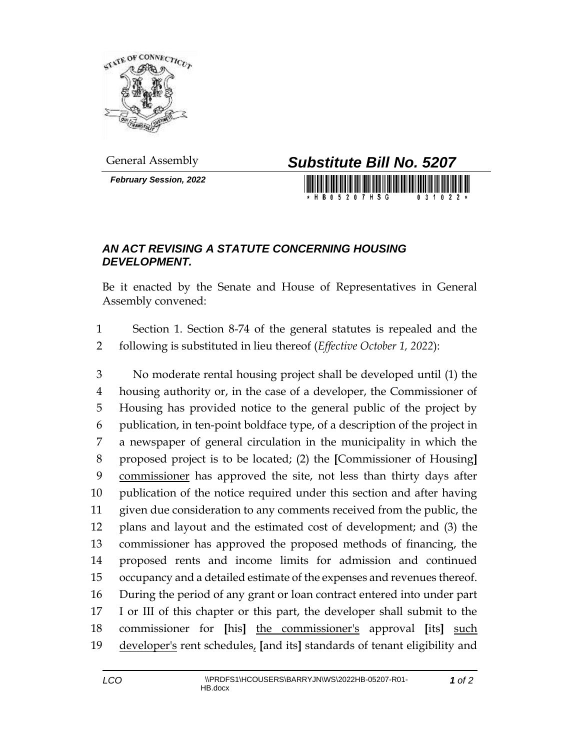

*February Session, 2022*



## *AN ACT REVISING A STATUTE CONCERNING HOUSING DEVELOPMENT.*

Be it enacted by the Senate and House of Representatives in General Assembly convened:

 Section 1. Section 8-74 of the general statutes is repealed and the following is substituted in lieu thereof (*Effective October 1, 2022*):

 No moderate rental housing project shall be developed until (1) the housing authority or, in the case of a developer, the Commissioner of Housing has provided notice to the general public of the project by publication, in ten-point boldface type, of a description of the project in a newspaper of general circulation in the municipality in which the proposed project is to be located; (2) the **[**Commissioner of Housing**]** commissioner has approved the site, not less than thirty days after publication of the notice required under this section and after having given due consideration to any comments received from the public, the plans and layout and the estimated cost of development; and (3) the commissioner has approved the proposed methods of financing, the proposed rents and income limits for admission and continued occupancy and a detailed estimate of the expenses and revenues thereof. During the period of any grant or loan contract entered into under part I or III of this chapter or this part, the developer shall submit to the commissioner for **[**his**]** the commissioner's approval **[**its**]** such developer's rent schedules, **[**and its**]** standards of tenant eligibility and